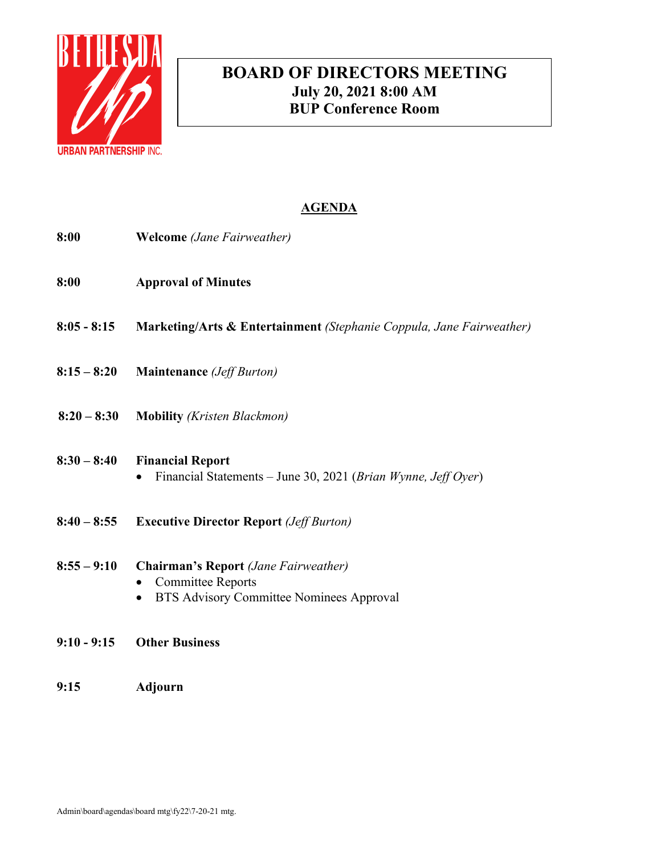

# **BOARD OF DIRECTORS MEETING July 20, 2021 8:00 AM BUP Conference Room**

# **AGENDA**

- **8:00 Welcome** *(Jane Fairweather)*
- **8:00 Approval of Minutes**
- **8:05 - 8:15 Marketing/Arts & Entertainment** *(Stephanie Coppula, Jane Fairweather)*
- **8:15 – 8:20 Maintenance** *(Jeff Burton)*
- **8:20 – 8:30 Mobility** *(Kristen Blackmon)*

# **8:30 – 8:40 Financial Report**

- Financial Statements June 30, 2021 (*Brian Wynne, Jeff Oyer*)
- **8:40 – 8:55 Executive Director Report** *(Jeff Burton)*
- **8:55 – 9:10 Chairman's Report** *(Jane Fairweather)*
	- Committee Reports
	- BTS Advisory Committee Nominees Approval
- **9:10 - 9:15 Other Business**
- **9:15 Adjourn**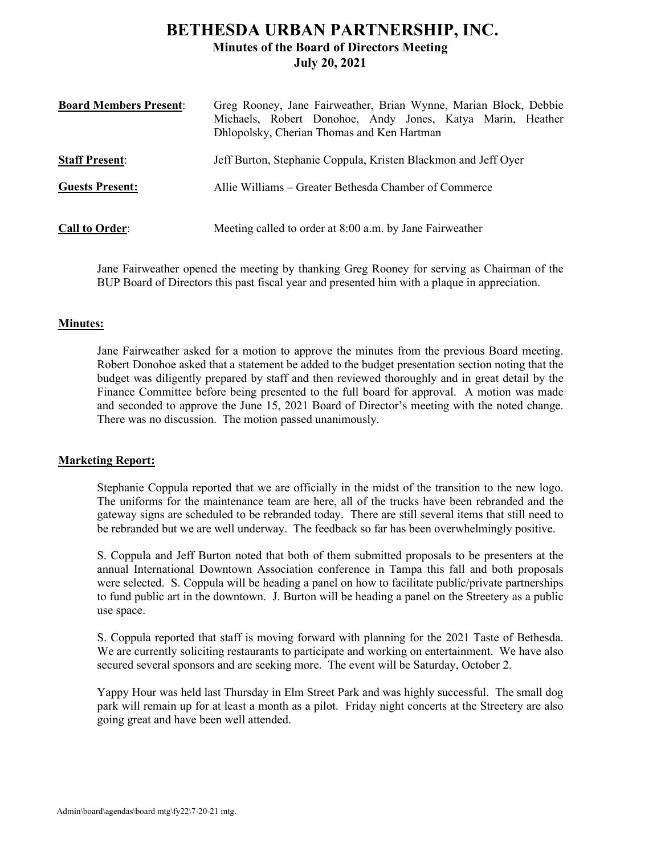# **BETHESDA URBAN PARTNERSHIP, INC. Minutes of the Board of Directors Meeting July 20, 2021**

| <b>Board Members Present:</b> | Greg Rooney, Jane Fairweather, Brian Wynne, Marian Block, Debbie<br>Michaels, Robert Donohoe, Andy Jones, Katya Marin, Heather<br>Dhlopolsky, Cherian Thomas and Ken Hartman |
|-------------------------------|------------------------------------------------------------------------------------------------------------------------------------------------------------------------------|
| <b>Staff Present:</b>         | Jeff Burton, Stephanie Coppula, Kristen Blackmon and Jeff Oyer                                                                                                               |
| <b>Guests Present:</b>        | Allie Williams – Greater Bethesda Chamber of Commerce                                                                                                                        |
| <b>Call to Order:</b>         | Meeting called to order at 8:00 a.m. by Jane Fairweather                                                                                                                     |

Jane Fairweather opened the meeting by thanking Greg Rooney for serving as Chairman of the BUP Board of Directors this past fiscal year and presented him with a plaque in appreciation.

## **Minutes:**

Jane Fairweather asked for a motion to approve the minutes from the previous Board meeting. Robert Donohoe asked that a statement be added to the budget presentation section noting that the budget was diligently prepared by staff and then reviewed thoroughly and in great detail by the Finance Committee before being presented to the full board for approval. A motion was made and seconded to approve the June 15, 2021 Board of Director's meeting with the noted change. There was no discussion. The motion passed unanimously.

# **Marketing Report:**

Stephanie Coppula reported that we are officially in the midst of the transition to the new logo. The uniforms for the maintenance team are here, all of the trucks have been rebranded and the gateway signs are scheduled to be rebranded today. There are still several items that still need to be rebranded but we are well underway. The feedback so far has been overwhelmingly positive.

S. Coppula and Jeff Burton noted that both of them submitted proposals to be presenters at the annual International Downtown Association conference in Tampa this fall and both proposals were selected. S. Coppula will be heading a panel on how to facilitate public/private partnerships to fund public art in the downtown. J. Burton will be heading a panel on the Streetery as a public use space.

S. Coppula reported that staff is moving forward with planning for the 2021 Taste of Bethesda. We are currently soliciting restaurants to participate and working on entertainment. We have also secured several sponsors and are seeking more. The event will be Saturday, October 2.

Yappy Hour was held last Thursday in Elm Street Park and was highly successful. The small dog park will remain up for at least a month as a pilot. Friday night concerts at the Streetery are also going great and have been well attended.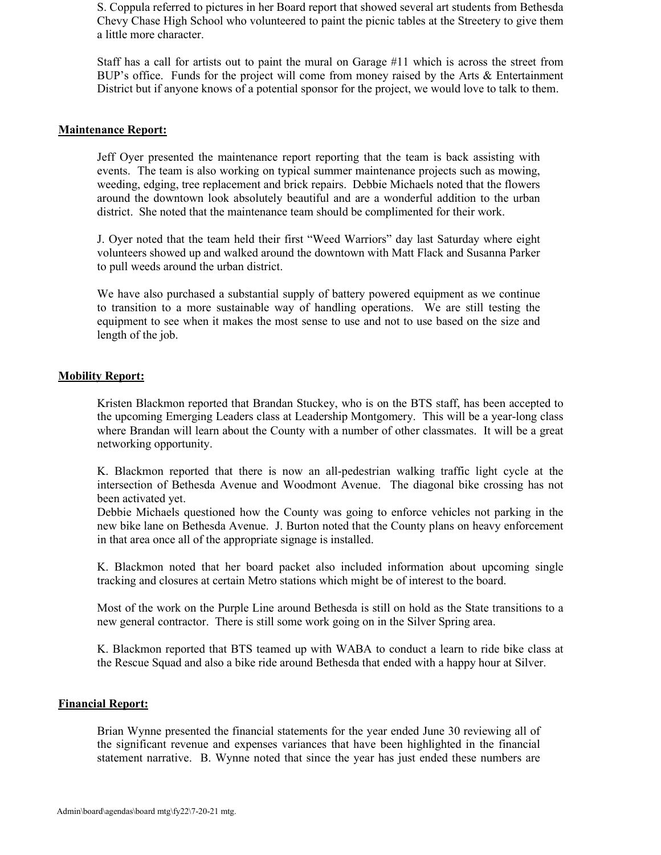S. Coppula referred to pictures in her Board report that showed several art students from Bethesda Chevy Chase High School who volunteered to paint the picnic tables at the Streetery to give them a little more character.

Staff has a call for artists out to paint the mural on Garage #11 which is across the street from BUP's office. Funds for the project will come from money raised by the Arts & Entertainment District but if anyone knows of a potential sponsor for the project, we would love to talk to them.

### **Maintenance Report:**

Jeff Oyer presented the maintenance report reporting that the team is back assisting with events. The team is also working on typical summer maintenance projects such as mowing, weeding, edging, tree replacement and brick repairs. Debbie Michaels noted that the flowers around the downtown look absolutely beautiful and are a wonderful addition to the urban district. She noted that the maintenance team should be complimented for their work.

J. Oyer noted that the team held their first "Weed Warriors" day last Saturday where eight volunteers showed up and walked around the downtown with Matt Flack and Susanna Parker to pull weeds around the urban district.

We have also purchased a substantial supply of battery powered equipment as we continue to transition to a more sustainable way of handling operations. We are still testing the equipment to see when it makes the most sense to use and not to use based on the size and length of the job.

### **Mobility Report:**

Kristen Blackmon reported that Brandan Stuckey, who is on the BTS staff, has been accepted to the upcoming Emerging Leaders class at Leadership Montgomery. This will be a year-long class where Brandan will learn about the County with a number of other classmates. It will be a great networking opportunity.

K. Blackmon reported that there is now an all-pedestrian walking traffic light cycle at the intersection of Bethesda Avenue and Woodmont Avenue. The diagonal bike crossing has not been activated yet.

Debbie Michaels questioned how the County was going to enforce vehicles not parking in the new bike lane on Bethesda Avenue. J. Burton noted that the County plans on heavy enforcement in that area once all of the appropriate signage is installed.

K. Blackmon noted that her board packet also included information about upcoming single tracking and closures at certain Metro stations which might be of interest to the board.

Most of the work on the Purple Line around Bethesda is still on hold as the State transitions to a new general contractor. There is still some work going on in the Silver Spring area.

K. Blackmon reported that BTS teamed up with WABA to conduct a learn to ride bike class at the Rescue Squad and also a bike ride around Bethesda that ended with a happy hour at Silver.

### **Financial Report:**

Brian Wynne presented the financial statements for the year ended June 30 reviewing all of the significant revenue and expenses variances that have been highlighted in the financial statement narrative. B. Wynne noted that since the year has just ended these numbers are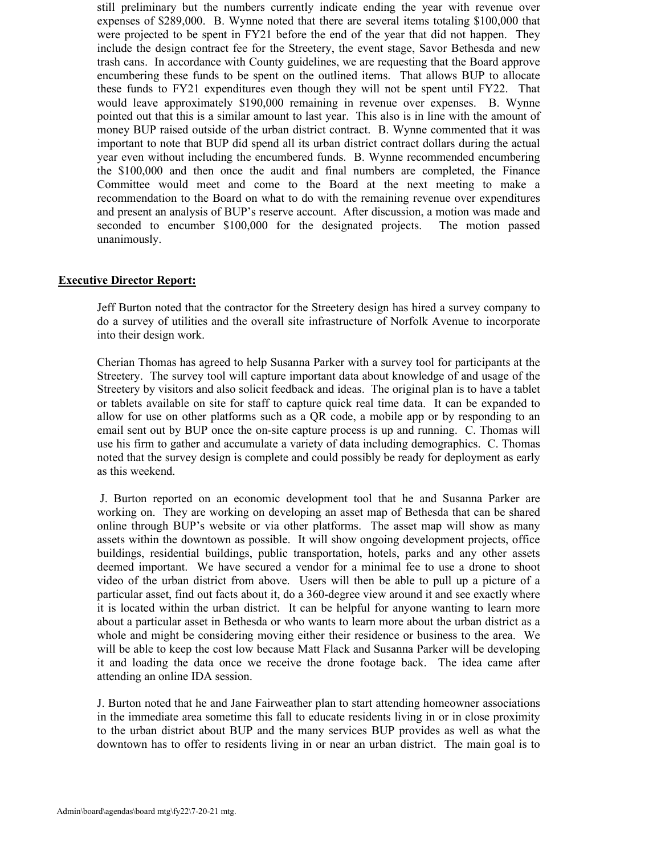still preliminary but the numbers currently indicate ending the year with revenue over expenses of \$289,000. B. Wynne noted that there are several items totaling \$100,000 that were projected to be spent in FY21 before the end of the year that did not happen. They include the design contract fee for the Streetery, the event stage, Savor Bethesda and new trash cans. In accordance with County guidelines, we are requesting that the Board approve encumbering these funds to be spent on the outlined items. That allows BUP to allocate these funds to FY21 expenditures even though they will not be spent until FY22. That would leave approximately \$190,000 remaining in revenue over expenses. B. Wynne pointed out that this is a similar amount to last year. This also is in line with the amount of money BUP raised outside of the urban district contract. B. Wynne commented that it was important to note that BUP did spend all its urban district contract dollars during the actual year even without including the encumbered funds. B. Wynne recommended encumbering the \$100,000 and then once the audit and final numbers are completed, the Finance Committee would meet and come to the Board at the next meeting to make a recommendation to the Board on what to do with the remaining revenue over expenditures and present an analysis of BUP's reserve account. After discussion, a motion was made and seconded to encumber \$100,000 for the designated projects. The motion passed unanimously.

# **Executive Director Report:**

Jeff Burton noted that the contractor for the Streetery design has hired a survey company to do a survey of utilities and the overall site infrastructure of Norfolk Avenue to incorporate into their design work.

Cherian Thomas has agreed to help Susanna Parker with a survey tool for participants at the Streetery. The survey tool will capture important data about knowledge of and usage of the Streetery by visitors and also solicit feedback and ideas. The original plan is to have a tablet or tablets available on site for staff to capture quick real time data. It can be expanded to allow for use on other platforms such as a QR code, a mobile app or by responding to an email sent out by BUP once the on-site capture process is up and running. C. Thomas will use his firm to gather and accumulate a variety of data including demographics. C. Thomas noted that the survey design is complete and could possibly be ready for deployment as early as this weekend.

J. Burton reported on an economic development tool that he and Susanna Parker are working on. They are working on developing an asset map of Bethesda that can be shared online through BUP's website or via other platforms. The asset map will show as many assets within the downtown as possible. It will show ongoing development projects, office buildings, residential buildings, public transportation, hotels, parks and any other assets deemed important. We have secured a vendor for a minimal fee to use a drone to shoot video of the urban district from above. Users will then be able to pull up a picture of a particular asset, find out facts about it, do a 360-degree view around it and see exactly where it is located within the urban district. It can be helpful for anyone wanting to learn more about a particular asset in Bethesda or who wants to learn more about the urban district as a whole and might be considering moving either their residence or business to the area. We will be able to keep the cost low because Matt Flack and Susanna Parker will be developing it and loading the data once we receive the drone footage back. The idea came after attending an online IDA session.

J. Burton noted that he and Jane Fairweather plan to start attending homeowner associations in the immediate area sometime this fall to educate residents living in or in close proximity to the urban district about BUP and the many services BUP provides as well as what the downtown has to offer to residents living in or near an urban district. The main goal is to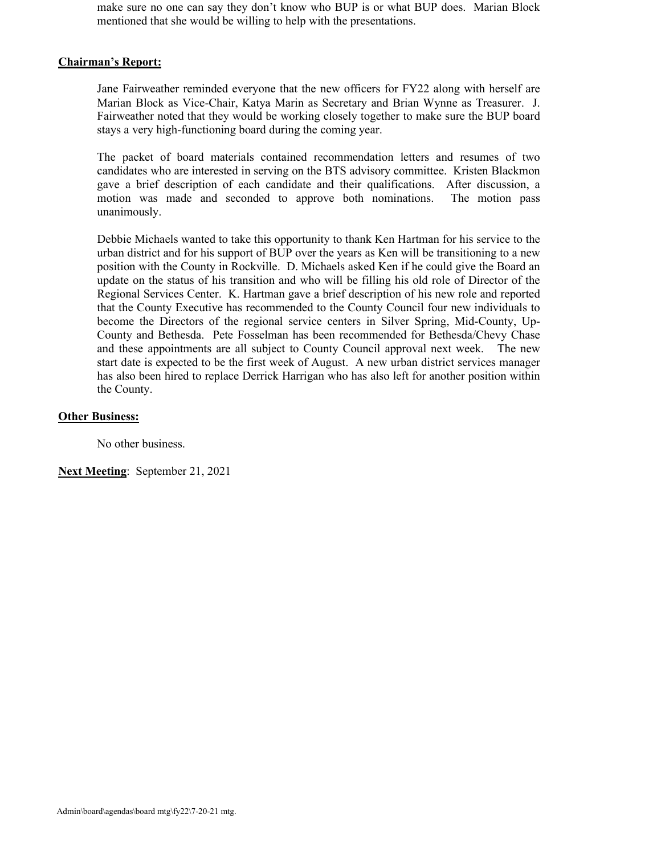make sure no one can say they don't know who BUP is or what BUP does. Marian Block mentioned that she would be willing to help with the presentations.

# **Chairman's Report:**

Jane Fairweather reminded everyone that the new officers for FY22 along with herself are Marian Block as Vice-Chair, Katya Marin as Secretary and Brian Wynne as Treasurer. J. Fairweather noted that they would be working closely together to make sure the BUP board stays a very high-functioning board during the coming year.

The packet of board materials contained recommendation letters and resumes of two candidates who are interested in serving on the BTS advisory committee. Kristen Blackmon gave a brief description of each candidate and their qualifications. After discussion, a motion was made and seconded to approve both nominations. The motion pass unanimously.

Debbie Michaels wanted to take this opportunity to thank Ken Hartman for his service to the urban district and for his support of BUP over the years as Ken will be transitioning to a new position with the County in Rockville. D. Michaels asked Ken if he could give the Board an update on the status of his transition and who will be filling his old role of Director of the Regional Services Center. K. Hartman gave a brief description of his new role and reported that the County Executive has recommended to the County Council four new individuals to become the Directors of the regional service centers in Silver Spring, Mid-County, Up-County and Bethesda. Pete Fosselman has been recommended for Bethesda/Chevy Chase and these appointments are all subject to County Council approval next week. The new start date is expected to be the first week of August. A new urban district services manager has also been hired to replace Derrick Harrigan who has also left for another position within the County.

## **Other Business:**

No other business.

**Next Meeting**: September 21, 2021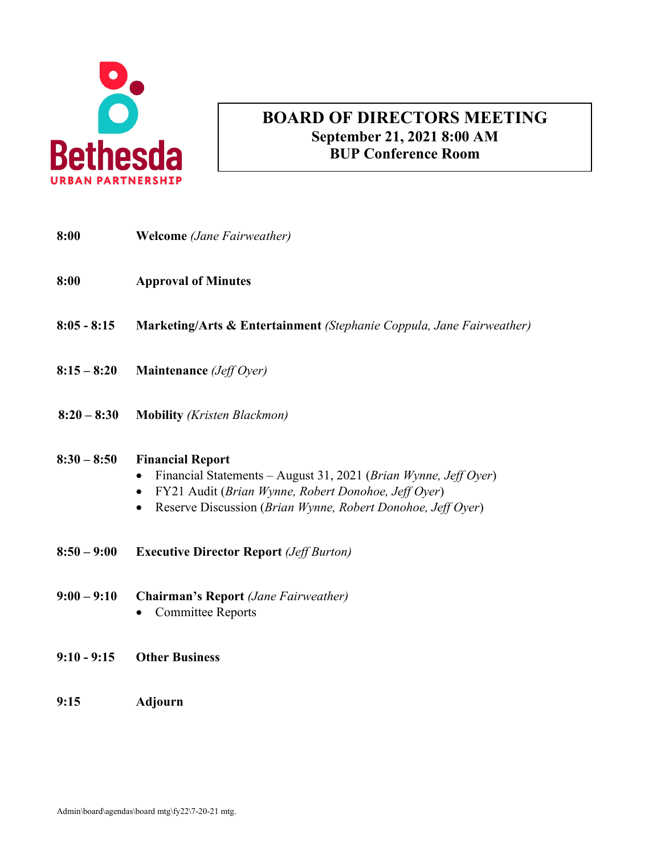

# **AGENDA BOARD OF DIRECTORS MEETING September 21, 2021 8:00 AM BUP Conference Room**

| 8:00          | <b>Welcome</b> (Jane Fairweather)                                                                                                                                                                                                          |
|---------------|--------------------------------------------------------------------------------------------------------------------------------------------------------------------------------------------------------------------------------------------|
| 8:00          | <b>Approval of Minutes</b>                                                                                                                                                                                                                 |
| $8:05 - 8:15$ | Marketing/Arts & Entertainment (Stephanie Coppula, Jane Fairweather)                                                                                                                                                                       |
| $8:15 - 8:20$ | <b>Maintenance</b> ( <i>Jeff Oyer</i> )                                                                                                                                                                                                    |
| $8:20 - 8:30$ | <b>Mobility</b> (Kristen Blackmon)                                                                                                                                                                                                         |
| $8:30 - 8:50$ | <b>Financial Report</b><br>Financial Statements - August 31, 2021 (Brian Wynne, Jeff Oyer)<br>FY21 Audit (Brian Wynne, Robert Donohoe, Jeff Oyer)<br>$\bullet$<br>Reserve Discussion (Brian Wynne, Robert Donohoe, Jeff Oyer)<br>$\bullet$ |
| $8:50 - 9:00$ | <b>Executive Director Report (Jeff Burton)</b>                                                                                                                                                                                             |
| $9:00 - 9:10$ | <b>Chairman's Report</b> (Jane Fairweather)<br><b>Committee Reports</b><br>$\bullet$                                                                                                                                                       |
| $9:10 - 9:15$ | <b>Other Business</b>                                                                                                                                                                                                                      |
| 9:15          | Adjourn                                                                                                                                                                                                                                    |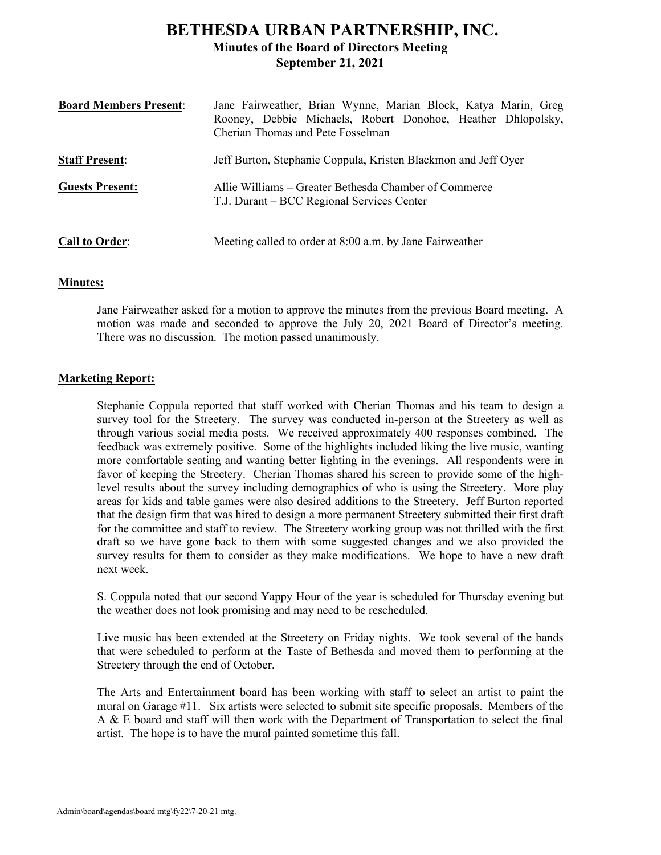# **BETHESDA URBAN PARTNERSHIP, INC. Minutes of the Board of Directors Meeting September 21, 2021**

| <b>Board Members Present:</b> | Jane Fairweather, Brian Wynne, Marian Block, Katya Marin, Greg<br>Rooney, Debbie Michaels, Robert Donohoe, Heather Dhlopolsky,<br>Cherian Thomas and Pete Fosselman |
|-------------------------------|---------------------------------------------------------------------------------------------------------------------------------------------------------------------|
| <b>Staff Present:</b>         | Jeff Burton, Stephanie Coppula, Kristen Blackmon and Jeff Oyer                                                                                                      |
| <b>Guests Present:</b>        | Allie Williams – Greater Bethesda Chamber of Commerce<br>T.J. Durant – BCC Regional Services Center                                                                 |
| <b>Call to Order:</b>         | Meeting called to order at 8:00 a.m. by Jane Fairweather                                                                                                            |

# **Minutes:**

Jane Fairweather asked for a motion to approve the minutes from the previous Board meeting. A motion was made and seconded to approve the July 20, 2021 Board of Director's meeting. There was no discussion. The motion passed unanimously.

## **Marketing Report:**

Stephanie Coppula reported that staff worked with Cherian Thomas and his team to design a survey tool for the Streetery. The survey was conducted in-person at the Streetery as well as through various social media posts. We received approximately 400 responses combined. The feedback was extremely positive. Some of the highlights included liking the live music, wanting more comfortable seating and wanting better lighting in the evenings. All respondents were in favor of keeping the Streetery. Cherian Thomas shared his screen to provide some of the highlevel results about the survey including demographics of who is using the Streetery. More play areas for kids and table games were also desired additions to the Streetery. Jeff Burton reported that the design firm that was hired to design a more permanent Streetery submitted their first draft for the committee and staff to review. The Streetery working group was not thrilled with the first draft so we have gone back to them with some suggested changes and we also provided the survey results for them to consider as they make modifications. We hope to have a new draft next week.

S. Coppula noted that our second Yappy Hour of the year is scheduled for Thursday evening but the weather does not look promising and may need to be rescheduled.

Live music has been extended at the Streetery on Friday nights. We took several of the bands that were scheduled to perform at the Taste of Bethesda and moved them to performing at the Streetery through the end of October.

The Arts and Entertainment board has been working with staff to select an artist to paint the mural on Garage #11. Six artists were selected to submit site specific proposals. Members of the A & E board and staff will then work with the Department of Transportation to select the final artist. The hope is to have the mural painted sometime this fall.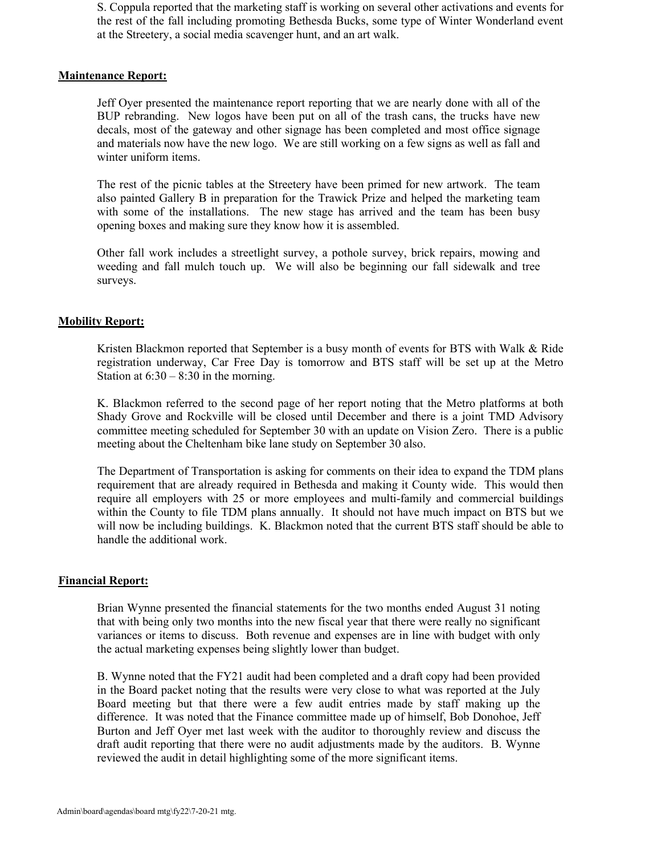S. Coppula reported that the marketing staff is working on several other activations and events for the rest of the fall including promoting Bethesda Bucks, some type of Winter Wonderland event at the Streetery, a social media scavenger hunt, and an art walk.

## **Maintenance Report:**

Jeff Oyer presented the maintenance report reporting that we are nearly done with all of the BUP rebranding. New logos have been put on all of the trash cans, the trucks have new decals, most of the gateway and other signage has been completed and most office signage and materials now have the new logo. We are still working on a few signs as well as fall and winter uniform items.

The rest of the picnic tables at the Streetery have been primed for new artwork. The team also painted Gallery B in preparation for the Trawick Prize and helped the marketing team with some of the installations. The new stage has arrived and the team has been busy opening boxes and making sure they know how it is assembled.

Other fall work includes a streetlight survey, a pothole survey, brick repairs, mowing and weeding and fall mulch touch up. We will also be beginning our fall sidewalk and tree surveys.

# **Mobility Report:**

Kristen Blackmon reported that September is a busy month of events for BTS with Walk & Ride registration underway, Car Free Day is tomorrow and BTS staff will be set up at the Metro Station at  $6:30 - 8:30$  in the morning.

K. Blackmon referred to the second page of her report noting that the Metro platforms at both Shady Grove and Rockville will be closed until December and there is a joint TMD Advisory committee meeting scheduled for September 30 with an update on Vision Zero. There is a public meeting about the Cheltenham bike lane study on September 30 also.

The Department of Transportation is asking for comments on their idea to expand the TDM plans requirement that are already required in Bethesda and making it County wide. This would then require all employers with 25 or more employees and multi-family and commercial buildings within the County to file TDM plans annually. It should not have much impact on BTS but we will now be including buildings. K. Blackmon noted that the current BTS staff should be able to handle the additional work.

### **Financial Report:**

Brian Wynne presented the financial statements for the two months ended August 31 noting that with being only two months into the new fiscal year that there were really no significant variances or items to discuss. Both revenue and expenses are in line with budget with only the actual marketing expenses being slightly lower than budget.

B. Wynne noted that the FY21 audit had been completed and a draft copy had been provided in the Board packet noting that the results were very close to what was reported at the July Board meeting but that there were a few audit entries made by staff making up the difference. It was noted that the Finance committee made up of himself, Bob Donohoe, Jeff Burton and Jeff Oyer met last week with the auditor to thoroughly review and discuss the draft audit reporting that there were no audit adjustments made by the auditors. B. Wynne reviewed the audit in detail highlighting some of the more significant items.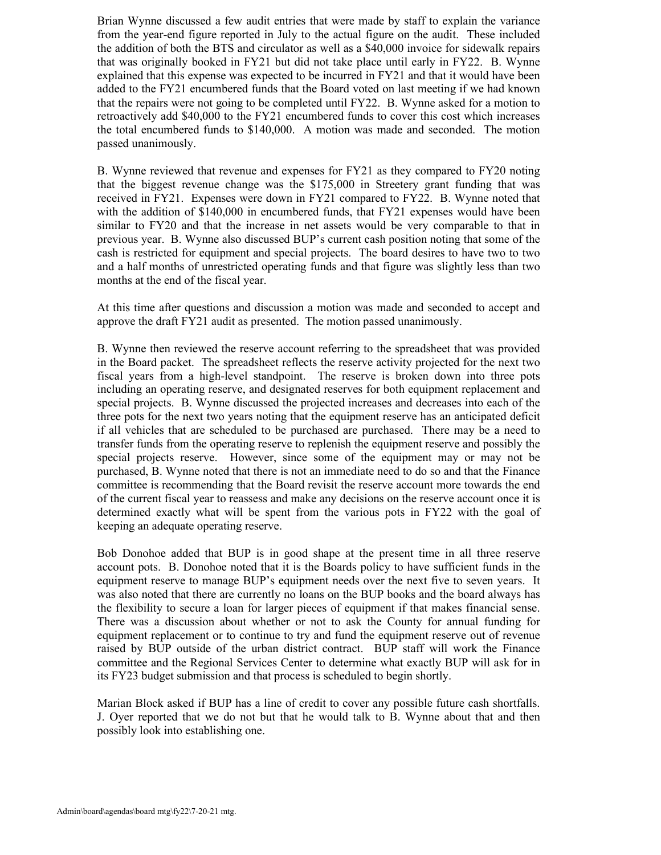Brian Wynne discussed a few audit entries that were made by staff to explain the variance from the year-end figure reported in July to the actual figure on the audit. These included the addition of both the BTS and circulator as well as a \$40,000 invoice for sidewalk repairs that was originally booked in FY21 but did not take place until early in FY22. B. Wynne explained that this expense was expected to be incurred in FY21 and that it would have been added to the FY21 encumbered funds that the Board voted on last meeting if we had known that the repairs were not going to be completed until FY22. B. Wynne asked for a motion to retroactively add \$40,000 to the FY21 encumbered funds to cover this cost which increases the total encumbered funds to \$140,000. A motion was made and seconded. The motion passed unanimously.

B. Wynne reviewed that revenue and expenses for FY21 as they compared to FY20 noting that the biggest revenue change was the \$175,000 in Streetery grant funding that was received in FY21. Expenses were down in FY21 compared to FY22. B. Wynne noted that with the addition of \$140,000 in encumbered funds, that FY21 expenses would have been similar to FY20 and that the increase in net assets would be very comparable to that in previous year. B. Wynne also discussed BUP's current cash position noting that some of the cash is restricted for equipment and special projects. The board desires to have two to two and a half months of unrestricted operating funds and that figure was slightly less than two months at the end of the fiscal year.

At this time after questions and discussion a motion was made and seconded to accept and approve the draft FY21 audit as presented. The motion passed unanimously.

B. Wynne then reviewed the reserve account referring to the spreadsheet that was provided in the Board packet. The spreadsheet reflects the reserve activity projected for the next two fiscal years from a high-level standpoint. The reserve is broken down into three pots including an operating reserve, and designated reserves for both equipment replacement and special projects. B. Wynne discussed the projected increases and decreases into each of the three pots for the next two years noting that the equipment reserve has an anticipated deficit if all vehicles that are scheduled to be purchased are purchased. There may be a need to transfer funds from the operating reserve to replenish the equipment reserve and possibly the special projects reserve. However, since some of the equipment may or may not be purchased, B. Wynne noted that there is not an immediate need to do so and that the Finance committee is recommending that the Board revisit the reserve account more towards the end of the current fiscal year to reassess and make any decisions on the reserve account once it is determined exactly what will be spent from the various pots in FY22 with the goal of keeping an adequate operating reserve.

Bob Donohoe added that BUP is in good shape at the present time in all three reserve account pots. B. Donohoe noted that it is the Boards policy to have sufficient funds in the equipment reserve to manage BUP's equipment needs over the next five to seven years. It was also noted that there are currently no loans on the BUP books and the board always has the flexibility to secure a loan for larger pieces of equipment if that makes financial sense. There was a discussion about whether or not to ask the County for annual funding for equipment replacement or to continue to try and fund the equipment reserve out of revenue raised by BUP outside of the urban district contract. BUP staff will work the Finance committee and the Regional Services Center to determine what exactly BUP will ask for in its FY23 budget submission and that process is scheduled to begin shortly.

Marian Block asked if BUP has a line of credit to cover any possible future cash shortfalls. J. Oyer reported that we do not but that he would talk to B. Wynne about that and then possibly look into establishing one.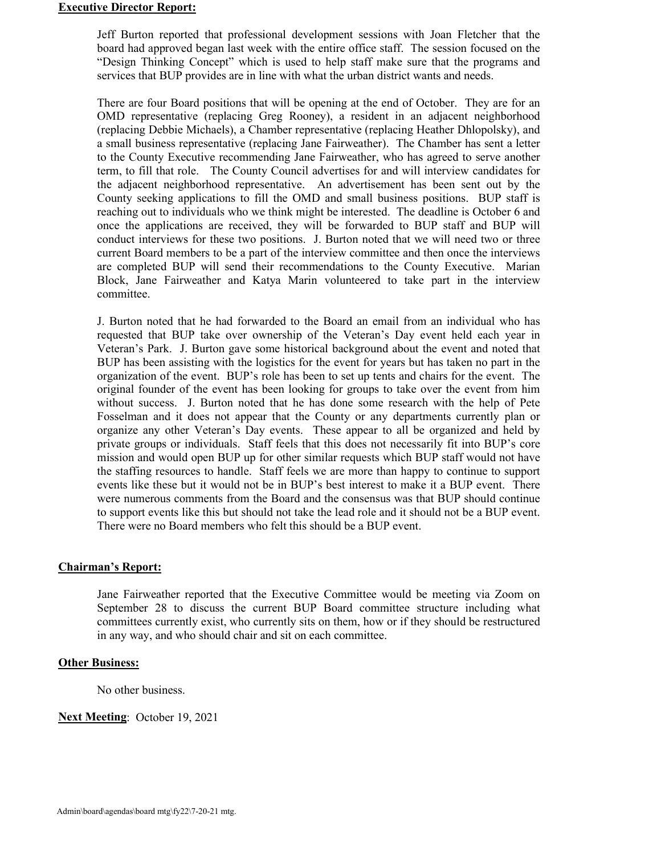### **Executive Director Report:**

Jeff Burton reported that professional development sessions with Joan Fletcher that the board had approved began last week with the entire office staff. The session focused on the "Design Thinking Concept" which is used to help staff make sure that the programs and services that BUP provides are in line with what the urban district wants and needs.

There are four Board positions that will be opening at the end of October. They are for an OMD representative (replacing Greg Rooney), a resident in an adjacent neighborhood (replacing Debbie Michaels), a Chamber representative (replacing Heather Dhlopolsky), and a small business representative (replacing Jane Fairweather). The Chamber has sent a letter to the County Executive recommending Jane Fairweather, who has agreed to serve another term, to fill that role. The County Council advertises for and will interview candidates for the adjacent neighborhood representative. An advertisement has been sent out by the County seeking applications to fill the OMD and small business positions. BUP staff is reaching out to individuals who we think might be interested. The deadline is October 6 and once the applications are received, they will be forwarded to BUP staff and BUP will conduct interviews for these two positions. J. Burton noted that we will need two or three current Board members to be a part of the interview committee and then once the interviews are completed BUP will send their recommendations to the County Executive. Marian Block, Jane Fairweather and Katya Marin volunteered to take part in the interview committee.

J. Burton noted that he had forwarded to the Board an email from an individual who has requested that BUP take over ownership of the Veteran's Day event held each year in Veteran's Park. J. Burton gave some historical background about the event and noted that BUP has been assisting with the logistics for the event for years but has taken no part in the organization of the event. BUP's role has been to set up tents and chairs for the event. The original founder of the event has been looking for groups to take over the event from him without success. J. Burton noted that he has done some research with the help of Pete Fosselman and it does not appear that the County or any departments currently plan or organize any other Veteran's Day events. These appear to all be organized and held by private groups or individuals. Staff feels that this does not necessarily fit into BUP's core mission and would open BUP up for other similar requests which BUP staff would not have the staffing resources to handle. Staff feels we are more than happy to continue to support events like these but it would not be in BUP's best interest to make it a BUP event. There were numerous comments from the Board and the consensus was that BUP should continue to support events like this but should not take the lead role and it should not be a BUP event. There were no Board members who felt this should be a BUP event.

### **Chairman's Report:**

Jane Fairweather reported that the Executive Committee would be meeting via Zoom on September 28 to discuss the current BUP Board committee structure including what committees currently exist, who currently sits on them, how or if they should be restructured in any way, and who should chair and sit on each committee.

### **Other Business:**

No other business.

### **Next Meeting**: October 19, 2021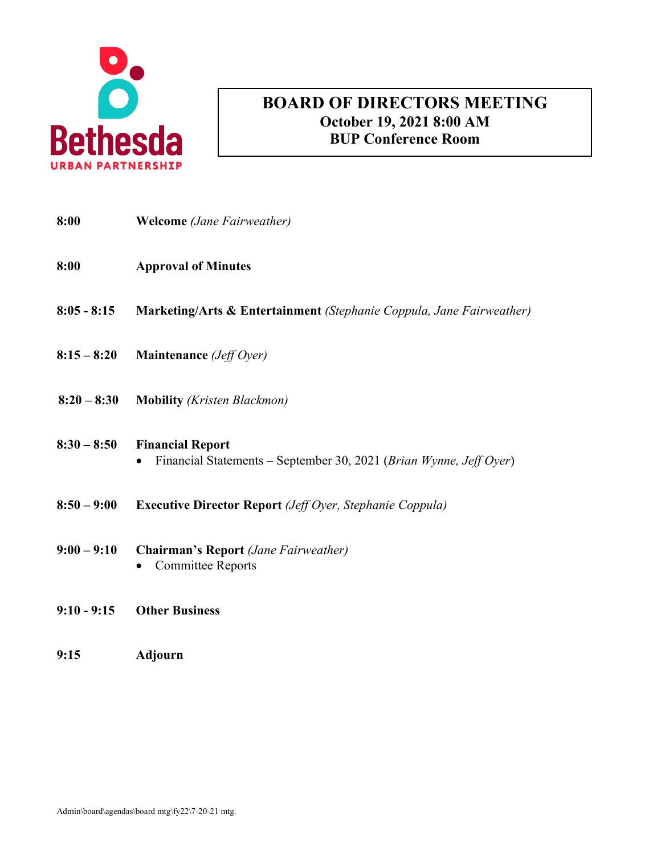

# **AGENDA BOARD OF DIRECTORS MEETING October 19, 2021 8:00 AM BUP Conference Room**

| 8:00          | <b>Welcome</b> (Jane Fairweather)                                                                          |
|---------------|------------------------------------------------------------------------------------------------------------|
| 8:00          | <b>Approval of Minutes</b>                                                                                 |
| $8:05 - 8:15$ | <b>Marketing/Arts &amp; Entertainment (Stephanie Coppula, Jane Fairweather)</b>                            |
| $8:15 - 8:20$ | Maintenance (Jeff Oyer)                                                                                    |
| $8:20 - 8:30$ | <b>Mobility</b> ( <i>Kristen Blackmon</i> )                                                                |
| $8:30 - 8:50$ | <b>Financial Report</b><br>Financial Statements – September 30, 2021 (Brian Wynne, Jeff Oyer)<br>$\bullet$ |
| $8:50 - 9:00$ | <b>Executive Director Report</b> ( <i>Jeff Oyer</i> , <i>Stephanie Coppula</i> )                           |
| $9:00 - 9:10$ | <b>Chairman's Report</b> (Jane Fairweather)<br><b>Committee Reports</b>                                    |
| $9:10 - 9:15$ | <b>Other Business</b>                                                                                      |

**9:15 Adjourn**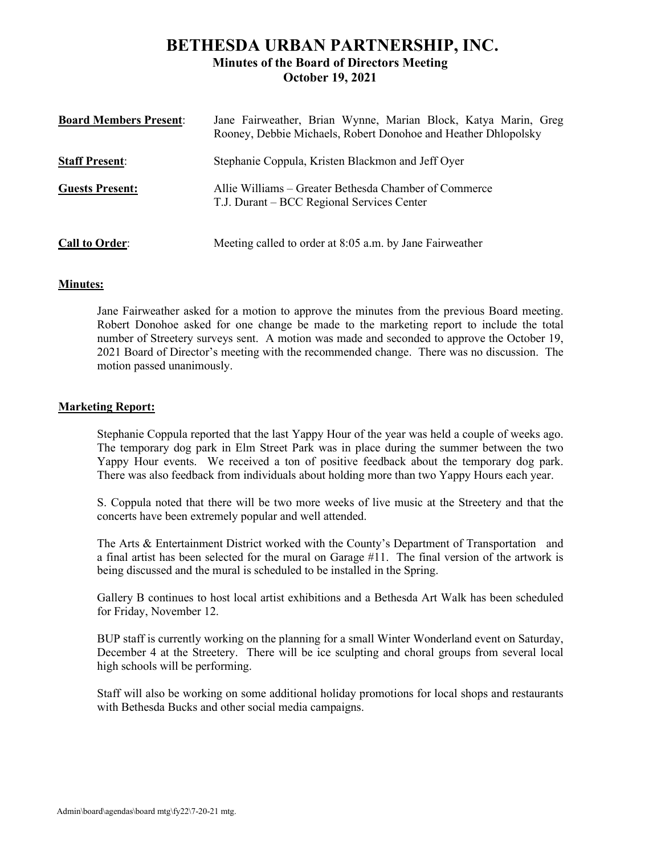# **BETHESDA URBAN PARTNERSHIP, INC. Minutes of the Board of Directors Meeting October 19, 2021**

| <b>Board Members Present:</b> | Jane Fairweather, Brian Wynne, Marian Block, Katya Marin, Greg<br>Rooney, Debbie Michaels, Robert Donohoe and Heather Dhlopolsky |
|-------------------------------|----------------------------------------------------------------------------------------------------------------------------------|
| <b>Staff Present:</b>         | Stephanie Coppula, Kristen Blackmon and Jeff Over                                                                                |
| <b>Guests Present:</b>        | Allie Williams – Greater Bethesda Chamber of Commerce<br>T.J. Durant – BCC Regional Services Center                              |
| <b>Call to Order:</b>         | Meeting called to order at 8:05 a.m. by Jane Fairweather                                                                         |

# **Minutes:**

Jane Fairweather asked for a motion to approve the minutes from the previous Board meeting. Robert Donohoe asked for one change be made to the marketing report to include the total number of Streetery surveys sent. A motion was made and seconded to approve the October 19, 2021 Board of Director's meeting with the recommended change. There was no discussion. The motion passed unanimously.

# **Marketing Report:**

Stephanie Coppula reported that the last Yappy Hour of the year was held a couple of weeks ago. The temporary dog park in Elm Street Park was in place during the summer between the two Yappy Hour events. We received a ton of positive feedback about the temporary dog park. There was also feedback from individuals about holding more than two Yappy Hours each year.

S. Coppula noted that there will be two more weeks of live music at the Streetery and that the concerts have been extremely popular and well attended.

The Arts & Entertainment District worked with the County's Department of Transportation and a final artist has been selected for the mural on Garage #11. The final version of the artwork is being discussed and the mural is scheduled to be installed in the Spring.

Gallery B continues to host local artist exhibitions and a Bethesda Art Walk has been scheduled for Friday, November 12.

BUP staff is currently working on the planning for a small Winter Wonderland event on Saturday, December 4 at the Streetery. There will be ice sculpting and choral groups from several local high schools will be performing.

Staff will also be working on some additional holiday promotions for local shops and restaurants with Bethesda Bucks and other social media campaigns.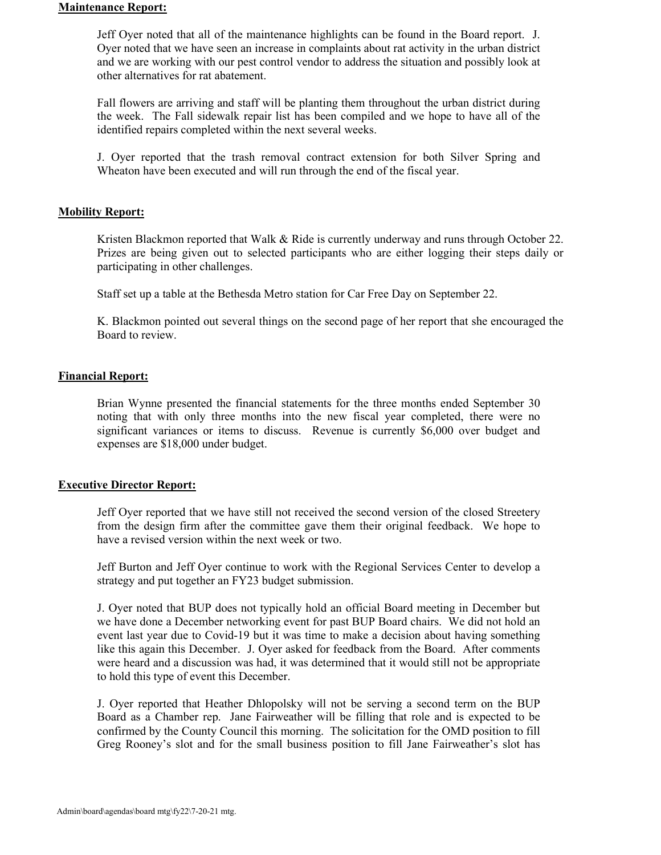### **Maintenance Report:**

Jeff Oyer noted that all of the maintenance highlights can be found in the Board report. J. Oyer noted that we have seen an increase in complaints about rat activity in the urban district and we are working with our pest control vendor to address the situation and possibly look at other alternatives for rat abatement.

Fall flowers are arriving and staff will be planting them throughout the urban district during the week. The Fall sidewalk repair list has been compiled and we hope to have all of the identified repairs completed within the next several weeks.

J. Oyer reported that the trash removal contract extension for both Silver Spring and Wheaton have been executed and will run through the end of the fiscal year.

#### **Mobility Report:**

Kristen Blackmon reported that Walk & Ride is currently underway and runs through October 22. Prizes are being given out to selected participants who are either logging their steps daily or participating in other challenges.

Staff set up a table at the Bethesda Metro station for Car Free Day on September 22.

K. Blackmon pointed out several things on the second page of her report that she encouraged the Board to review.

#### **Financial Report:**

Brian Wynne presented the financial statements for the three months ended September 30 noting that with only three months into the new fiscal year completed, there were no significant variances or items to discuss. Revenue is currently \$6,000 over budget and expenses are \$18,000 under budget.

### **Executive Director Report:**

Jeff Oyer reported that we have still not received the second version of the closed Streetery from the design firm after the committee gave them their original feedback. We hope to have a revised version within the next week or two.

Jeff Burton and Jeff Oyer continue to work with the Regional Services Center to develop a strategy and put together an FY23 budget submission.

J. Oyer noted that BUP does not typically hold an official Board meeting in December but we have done a December networking event for past BUP Board chairs. We did not hold an event last year due to Covid-19 but it was time to make a decision about having something like this again this December. J. Oyer asked for feedback from the Board. After comments were heard and a discussion was had, it was determined that it would still not be appropriate to hold this type of event this December.

J. Oyer reported that Heather Dhlopolsky will not be serving a second term on the BUP Board as a Chamber rep. Jane Fairweather will be filling that role and is expected to be confirmed by the County Council this morning. The solicitation for the OMD position to fill Greg Rooney's slot and for the small business position to fill Jane Fairweather's slot has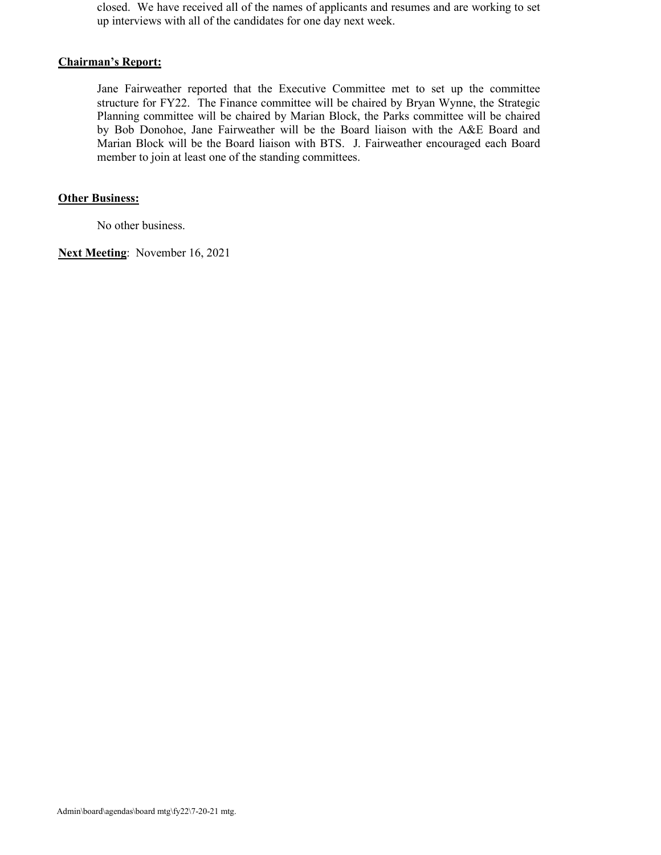closed. We have received all of the names of applicants and resumes and are working to set up interviews with all of the candidates for one day next week.

# **Chairman's Report:**

Jane Fairweather reported that the Executive Committee met to set up the committee structure for FY22. The Finance committee will be chaired by Bryan Wynne, the Strategic Planning committee will be chaired by Marian Block, the Parks committee will be chaired by Bob Donohoe, Jane Fairweather will be the Board liaison with the A&E Board and Marian Block will be the Board liaison with BTS. J. Fairweather encouraged each Board member to join at least one of the standing committees.

# **Other Business:**

No other business.

**Next Meeting**: November 16, 2021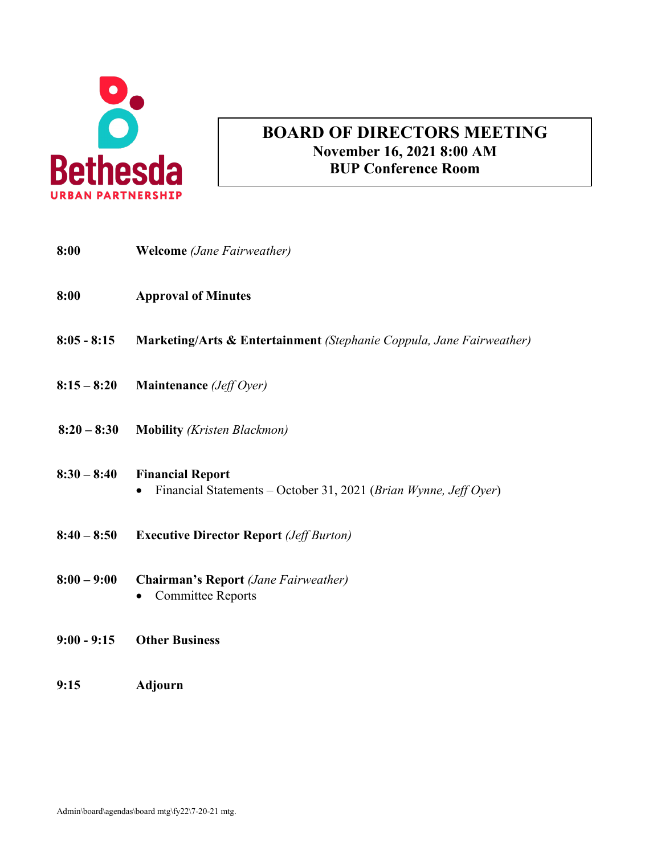

# **AGENDA BOARD OF DIRECTORS MEETING November 16, 2021 8:00 AM BUP Conference Room**

| 8:00          | <b>Welcome</b> (Jane Fairweather)                                                           |
|---------------|---------------------------------------------------------------------------------------------|
| 8:00          | <b>Approval of Minutes</b>                                                                  |
| $8:05 - 8:15$ | Marketing/Arts & Entertainment (Stephanie Coppula, Jane Fairweather)                        |
| $8:15 - 8:20$ | Maintenance (Jeff Oyer)                                                                     |
| $8:20 - 8:30$ | <b>Mobility</b> (Kristen Blackmon)                                                          |
| $8:30 - 8:40$ | <b>Financial Report</b><br>Financial Statements - October 31, 2021 (Brian Wynne, Jeff Oyer) |
| $8:40 - 8:50$ | <b>Executive Director Report (Jeff Burton)</b>                                              |
| $8:00 - 9:00$ | <b>Chairman's Report</b> (Jane Fairweather)<br><b>Committee Reports</b>                     |
| $9:00 - 9:15$ | <b>Other Business</b>                                                                       |
| 9:15          | Adjourn                                                                                     |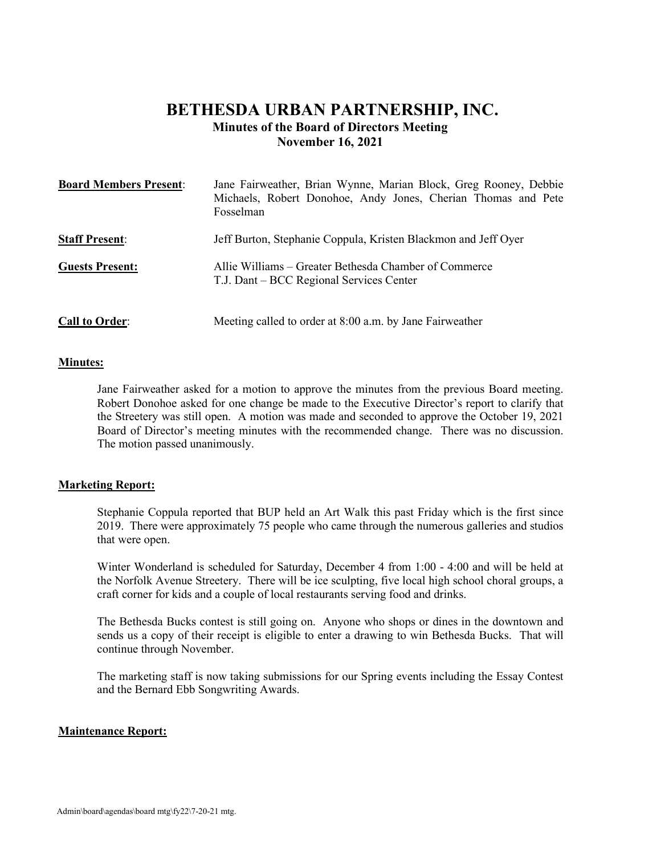# **BETHESDA URBAN PARTNERSHIP, INC. Minutes of the Board of Directors Meeting November 16, 2021**

| <b>Board Members Present:</b> | Jane Fairweather, Brian Wynne, Marian Block, Greg Rooney, Debbie<br>Michaels, Robert Donohoe, Andy Jones, Cherian Thomas and Pete<br>Fosselman |
|-------------------------------|------------------------------------------------------------------------------------------------------------------------------------------------|
| <b>Staff Present:</b>         | Jeff Burton, Stephanie Coppula, Kristen Blackmon and Jeff Oyer                                                                                 |
| <b>Guests Present:</b>        | Allie Williams – Greater Bethesda Chamber of Commerce<br>T.J. Dant – BCC Regional Services Center                                              |
| <b>Call to Order:</b>         | Meeting called to order at 8:00 a.m. by Jane Fairweather                                                                                       |

### **Minutes:**

Jane Fairweather asked for a motion to approve the minutes from the previous Board meeting. Robert Donohoe asked for one change be made to the Executive Director's report to clarify that the Streetery was still open. A motion was made and seconded to approve the October 19, 2021 Board of Director's meeting minutes with the recommended change. There was no discussion. The motion passed unanimously.

### **Marketing Report:**

Stephanie Coppula reported that BUP held an Art Walk this past Friday which is the first since 2019. There were approximately 75 people who came through the numerous galleries and studios that were open.

Winter Wonderland is scheduled for Saturday, December 4 from 1:00 - 4:00 and will be held at the Norfolk Avenue Streetery. There will be ice sculpting, five local high school choral groups, a craft corner for kids and a couple of local restaurants serving food and drinks.

The Bethesda Bucks contest is still going on. Anyone who shops or dines in the downtown and sends us a copy of their receipt is eligible to enter a drawing to win Bethesda Bucks. That will continue through November.

The marketing staff is now taking submissions for our Spring events including the Essay Contest and the Bernard Ebb Songwriting Awards.

### **Maintenance Report:**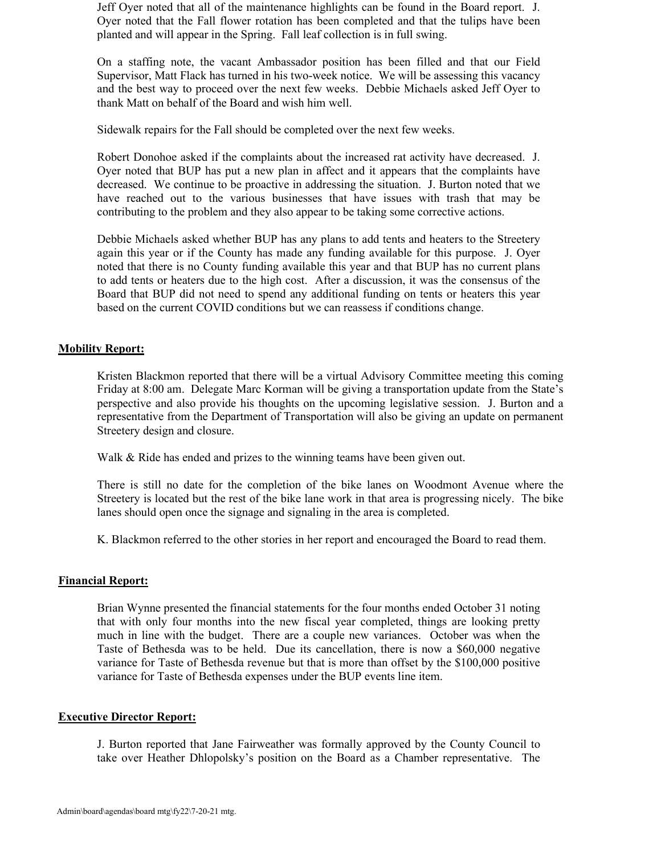Jeff Oyer noted that all of the maintenance highlights can be found in the Board report. J. Oyer noted that the Fall flower rotation has been completed and that the tulips have been planted and will appear in the Spring. Fall leaf collection is in full swing.

On a staffing note, the vacant Ambassador position has been filled and that our Field Supervisor, Matt Flack has turned in his two-week notice. We will be assessing this vacancy and the best way to proceed over the next few weeks. Debbie Michaels asked Jeff Oyer to thank Matt on behalf of the Board and wish him well.

Sidewalk repairs for the Fall should be completed over the next few weeks.

Robert Donohoe asked if the complaints about the increased rat activity have decreased. J. Oyer noted that BUP has put a new plan in affect and it appears that the complaints have decreased. We continue to be proactive in addressing the situation. J. Burton noted that we have reached out to the various businesses that have issues with trash that may be contributing to the problem and they also appear to be taking some corrective actions.

Debbie Michaels asked whether BUP has any plans to add tents and heaters to the Streetery again this year or if the County has made any funding available for this purpose. J. Oyer noted that there is no County funding available this year and that BUP has no current plans to add tents or heaters due to the high cost. After a discussion, it was the consensus of the Board that BUP did not need to spend any additional funding on tents or heaters this year based on the current COVID conditions but we can reassess if conditions change.

### **Mobility Report:**

Kristen Blackmon reported that there will be a virtual Advisory Committee meeting this coming Friday at 8:00 am. Delegate Marc Korman will be giving a transportation update from the State's perspective and also provide his thoughts on the upcoming legislative session. J. Burton and a representative from the Department of Transportation will also be giving an update on permanent Streetery design and closure.

Walk & Ride has ended and prizes to the winning teams have been given out.

There is still no date for the completion of the bike lanes on Woodmont Avenue where the Streetery is located but the rest of the bike lane work in that area is progressing nicely. The bike lanes should open once the signage and signaling in the area is completed.

K. Blackmon referred to the other stories in her report and encouraged the Board to read them.

### **Financial Report:**

Brian Wynne presented the financial statements for the four months ended October 31 noting that with only four months into the new fiscal year completed, things are looking pretty much in line with the budget. There are a couple new variances. October was when the Taste of Bethesda was to be held. Due its cancellation, there is now a \$60,000 negative variance for Taste of Bethesda revenue but that is more than offset by the \$100,000 positive variance for Taste of Bethesda expenses under the BUP events line item.

#### **Executive Director Report:**

J. Burton reported that Jane Fairweather was formally approved by the County Council to take over Heather Dhlopolsky's position on the Board as a Chamber representative. The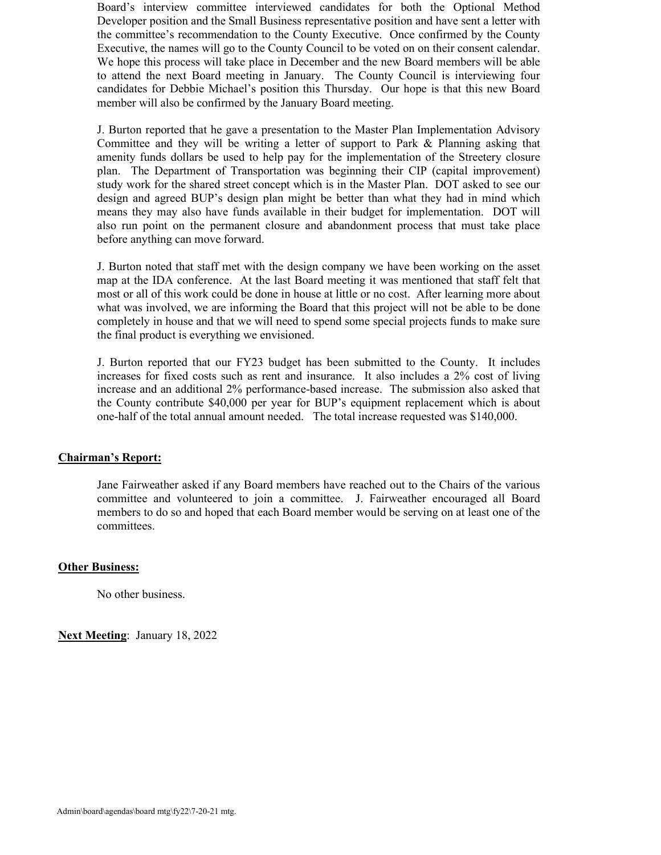Board's interview committee interviewed candidates for both the Optional Method Developer position and the Small Business representative position and have sent a letter with the committee's recommendation to the County Executive. Once confirmed by the County Executive, the names will go to the County Council to be voted on on their consent calendar. We hope this process will take place in December and the new Board members will be able to attend the next Board meeting in January. The County Council is interviewing four candidates for Debbie Michael's position this Thursday. Our hope is that this new Board member will also be confirmed by the January Board meeting.

J. Burton reported that he gave a presentation to the Master Plan Implementation Advisory Committee and they will be writing a letter of support to Park & Planning asking that amenity funds dollars be used to help pay for the implementation of the Streetery closure plan. The Department of Transportation was beginning their CIP (capital improvement) study work for the shared street concept which is in the Master Plan. DOT asked to see our design and agreed BUP's design plan might be better than what they had in mind which means they may also have funds available in their budget for implementation. DOT will also run point on the permanent closure and abandonment process that must take place before anything can move forward.

J. Burton noted that staff met with the design company we have been working on the asset map at the IDA conference. At the last Board meeting it was mentioned that staff felt that most or all of this work could be done in house at little or no cost. After learning more about what was involved, we are informing the Board that this project will not be able to be done completely in house and that we will need to spend some special projects funds to make sure the final product is everything we envisioned.

J. Burton reported that our FY23 budget has been submitted to the County. It includes increases for fixed costs such as rent and insurance. It also includes a 2% cost of living increase and an additional 2% performance-based increase. The submission also asked that the County contribute \$40,000 per year for BUP's equipment replacement which is about one-half of the total annual amount needed. The total increase requested was \$140,000.

# **Chairman's Report:**

Jane Fairweather asked if any Board members have reached out to the Chairs of the various committee and volunteered to join a committee. J. Fairweather encouraged all Board members to do so and hoped that each Board member would be serving on at least one of the committees.

### **Other Business:**

No other business.

**Next Meeting**: January 18, 2022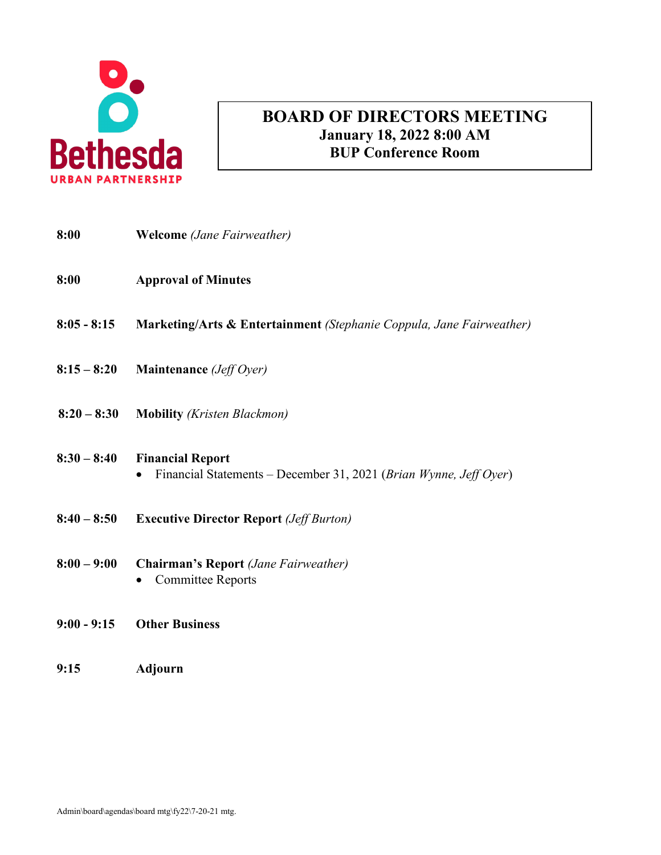

# **AGENDA BOARD OF DIRECTORS MEETING January 18, 2022 8:00 AM BUP Conference Room**

| 8:00          | <b>Welcome</b> (Jane Fairweather)                                                                         |
|---------------|-----------------------------------------------------------------------------------------------------------|
| 8:00          | <b>Approval of Minutes</b>                                                                                |
| $8:05 - 8:15$ | Marketing/Arts & Entertainment (Stephanie Coppula, Jane Fairweather)                                      |
| $8:15 - 8:20$ | Maintenance (Jeff Oyer)                                                                                   |
| $8:20 - 8:30$ | <b>Mobility</b> ( <i>Kristen Blackmon</i> )                                                               |
| $8:30 - 8:40$ | <b>Financial Report</b><br>Financial Statements – December 31, 2021 (Brian Wynne, Jeff Oyer)<br>$\bullet$ |
| $8:40 - 8:50$ | <b>Executive Director Report (Jeff Burton)</b>                                                            |
| $8:00 - 9:00$ | <b>Chairman's Report</b> (Jane Fairweather)<br><b>Committee Reports</b>                                   |
| $9:00 - 9:15$ | <b>Other Business</b>                                                                                     |

**9:15 Adjourn**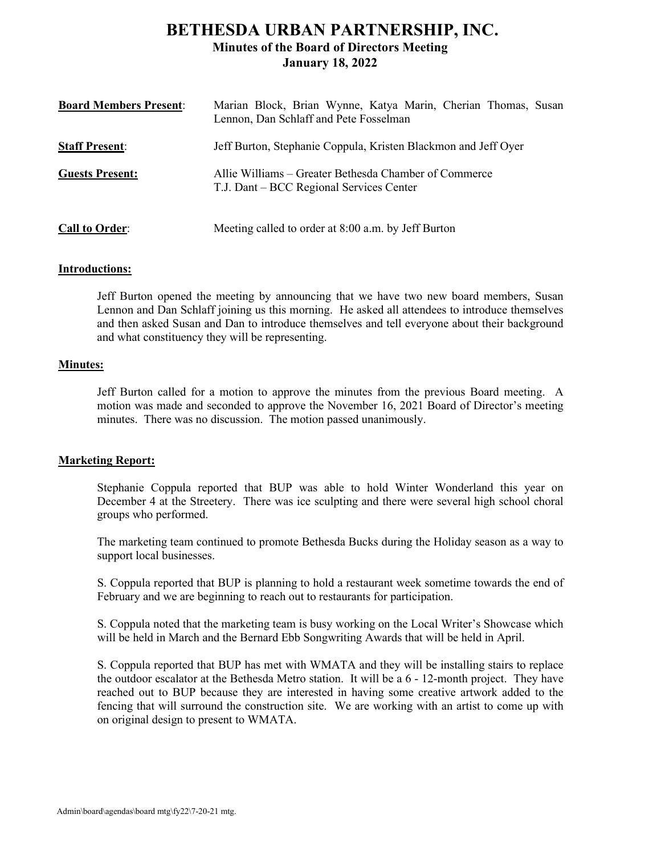# **BETHESDA URBAN PARTNERSHIP, INC. Minutes of the Board of Directors Meeting January 18, 2022**

| <b>Board Members Present:</b> | Marian Block, Brian Wynne, Katya Marin, Cherian Thomas, Susan<br>Lennon, Dan Schlaff and Pete Fosselman |
|-------------------------------|---------------------------------------------------------------------------------------------------------|
| <b>Staff Present:</b>         | Jeff Burton, Stephanie Coppula, Kristen Blackmon and Jeff Oyer                                          |
| <b>Guests Present:</b>        | Allie Williams – Greater Bethesda Chamber of Commerce<br>T.J. Dant – BCC Regional Services Center       |
| <b>Call to Order:</b>         | Meeting called to order at 8:00 a.m. by Jeff Burton                                                     |

## **Introductions:**

Jeff Burton opened the meeting by announcing that we have two new board members, Susan Lennon and Dan Schlaff joining us this morning. He asked all attendees to introduce themselves and then asked Susan and Dan to introduce themselves and tell everyone about their background and what constituency they will be representing.

## **Minutes:**

Jeff Burton called for a motion to approve the minutes from the previous Board meeting. A motion was made and seconded to approve the November 16, 2021 Board of Director's meeting minutes. There was no discussion. The motion passed unanimously.

# **Marketing Report:**

Stephanie Coppula reported that BUP was able to hold Winter Wonderland this year on December 4 at the Streetery. There was ice sculpting and there were several high school choral groups who performed.

The marketing team continued to promote Bethesda Bucks during the Holiday season as a way to support local businesses.

S. Coppula reported that BUP is planning to hold a restaurant week sometime towards the end of February and we are beginning to reach out to restaurants for participation.

S. Coppula noted that the marketing team is busy working on the Local Writer's Showcase which will be held in March and the Bernard Ebb Songwriting Awards that will be held in April.

S. Coppula reported that BUP has met with WMATA and they will be installing stairs to replace the outdoor escalator at the Bethesda Metro station. It will be a 6 - 12-month project. They have reached out to BUP because they are interested in having some creative artwork added to the fencing that will surround the construction site. We are working with an artist to come up with on original design to present to WMATA.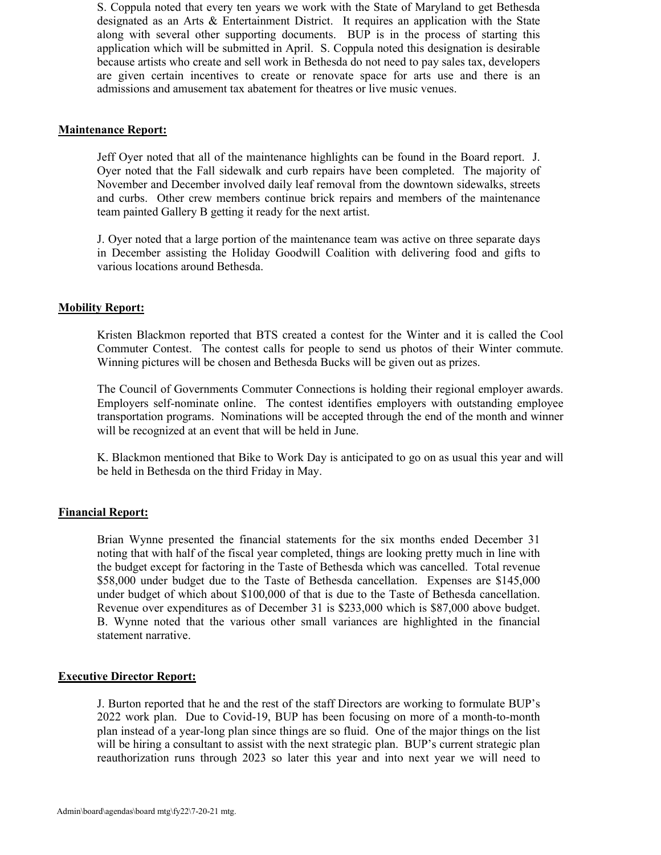S. Coppula noted that every ten years we work with the State of Maryland to get Bethesda designated as an Arts & Entertainment District. It requires an application with the State along with several other supporting documents. BUP is in the process of starting this application which will be submitted in April. S. Coppula noted this designation is desirable because artists who create and sell work in Bethesda do not need to pay sales tax, developers are given certain incentives to create or renovate space for arts use and there is an admissions and amusement tax abatement for theatres or live music venues.

## **Maintenance Report:**

Jeff Oyer noted that all of the maintenance highlights can be found in the Board report. J. Oyer noted that the Fall sidewalk and curb repairs have been completed. The majority of November and December involved daily leaf removal from the downtown sidewalks, streets and curbs. Other crew members continue brick repairs and members of the maintenance team painted Gallery B getting it ready for the next artist.

J. Oyer noted that a large portion of the maintenance team was active on three separate days in December assisting the Holiday Goodwill Coalition with delivering food and gifts to various locations around Bethesda.

## **Mobility Report:**

Kristen Blackmon reported that BTS created a contest for the Winter and it is called the Cool Commuter Contest. The contest calls for people to send us photos of their Winter commute. Winning pictures will be chosen and Bethesda Bucks will be given out as prizes.

The Council of Governments Commuter Connections is holding their regional employer awards. Employers self-nominate online. The contest identifies employers with outstanding employee transportation programs. Nominations will be accepted through the end of the month and winner will be recognized at an event that will be held in June.

K. Blackmon mentioned that Bike to Work Day is anticipated to go on as usual this year and will be held in Bethesda on the third Friday in May.

### **Financial Report:**

Brian Wynne presented the financial statements for the six months ended December 31 noting that with half of the fiscal year completed, things are looking pretty much in line with the budget except for factoring in the Taste of Bethesda which was cancelled. Total revenue \$58,000 under budget due to the Taste of Bethesda cancellation. Expenses are \$145,000 under budget of which about \$100,000 of that is due to the Taste of Bethesda cancellation. Revenue over expenditures as of December 31 is \$233,000 which is \$87,000 above budget. B. Wynne noted that the various other small variances are highlighted in the financial statement narrative.

# **Executive Director Report:**

J. Burton reported that he and the rest of the staff Directors are working to formulate BUP's 2022 work plan. Due to Covid-19, BUP has been focusing on more of a month-to-month plan instead of a year-long plan since things are so fluid. One of the major things on the list will be hiring a consultant to assist with the next strategic plan. BUP's current strategic plan reauthorization runs through 2023 so later this year and into next year we will need to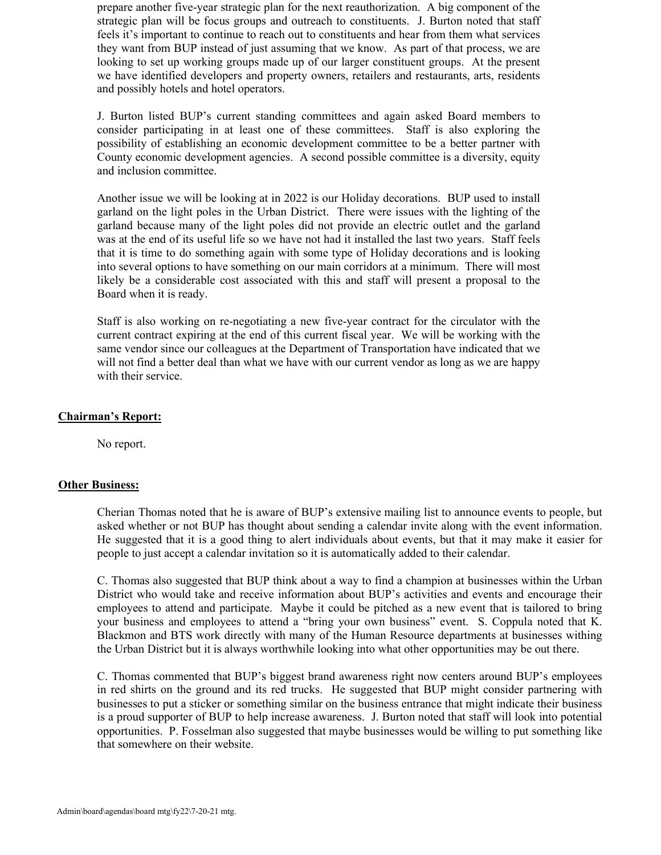prepare another five-year strategic plan for the next reauthorization. A big component of the strategic plan will be focus groups and outreach to constituents. J. Burton noted that staff feels it's important to continue to reach out to constituents and hear from them what services they want from BUP instead of just assuming that we know. As part of that process, we are looking to set up working groups made up of our larger constituent groups. At the present we have identified developers and property owners, retailers and restaurants, arts, residents and possibly hotels and hotel operators.

J. Burton listed BUP's current standing committees and again asked Board members to consider participating in at least one of these committees. Staff is also exploring the possibility of establishing an economic development committee to be a better partner with County economic development agencies. A second possible committee is a diversity, equity and inclusion committee.

Another issue we will be looking at in 2022 is our Holiday decorations. BUP used to install garland on the light poles in the Urban District. There were issues with the lighting of the garland because many of the light poles did not provide an electric outlet and the garland was at the end of its useful life so we have not had it installed the last two years. Staff feels that it is time to do something again with some type of Holiday decorations and is looking into several options to have something on our main corridors at a minimum. There will most likely be a considerable cost associated with this and staff will present a proposal to the Board when it is ready.

Staff is also working on re-negotiating a new five-year contract for the circulator with the current contract expiring at the end of this current fiscal year. We will be working with the same vendor since our colleagues at the Department of Transportation have indicated that we will not find a better deal than what we have with our current vendor as long as we are happy with their service.

### **Chairman's Report:**

No report.

### **Other Business:**

Cherian Thomas noted that he is aware of BUP's extensive mailing list to announce events to people, but asked whether or not BUP has thought about sending a calendar invite along with the event information. He suggested that it is a good thing to alert individuals about events, but that it may make it easier for people to just accept a calendar invitation so it is automatically added to their calendar.

C. Thomas also suggested that BUP think about a way to find a champion at businesses within the Urban District who would take and receive information about BUP's activities and events and encourage their employees to attend and participate. Maybe it could be pitched as a new event that is tailored to bring your business and employees to attend a "bring your own business" event. S. Coppula noted that K. Blackmon and BTS work directly with many of the Human Resource departments at businesses withing the Urban District but it is always worthwhile looking into what other opportunities may be out there.

C. Thomas commented that BUP's biggest brand awareness right now centers around BUP's employees in red shirts on the ground and its red trucks. He suggested that BUP might consider partnering with businesses to put a sticker or something similar on the business entrance that might indicate their business is a proud supporter of BUP to help increase awareness. J. Burton noted that staff will look into potential opportunities. P. Fosselman also suggested that maybe businesses would be willing to put something like that somewhere on their website.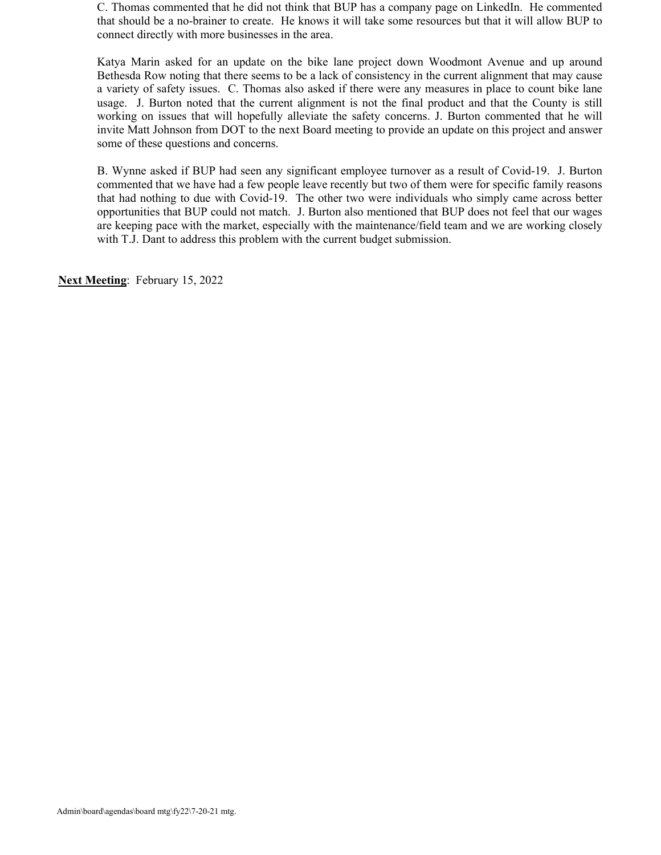C. Thomas commented that he did not think that BUP has a company page on LinkedIn. He commented that should be a no-brainer to create. He knows it will take some resources but that it will allow BUP to connect directly with more businesses in the area.

Katya Marin asked for an update on the bike lane project down Woodmont Avenue and up around Bethesda Row noting that there seems to be a lack of consistency in the current alignment that may cause a variety of safety issues. C. Thomas also asked if there were any measures in place to count bike lane usage. J. Burton noted that the current alignment is not the final product and that the County is still working on issues that will hopefully alleviate the safety concerns. J. Burton commented that he will invite Matt Johnson from DOT to the next Board meeting to provide an update on this project and answer some of these questions and concerns.

B. Wynne asked if BUP had seen any significant employee turnover as a result of Covid-19. J. Burton commented that we have had a few people leave recently but two of them were for specific family reasons that had nothing to due with Covid-19. The other two were individuals who simply came across better opportunities that BUP could not match. J. Burton also mentioned that BUP does not feel that our wages are keeping pace with the market, especially with the maintenance/field team and we are working closely with T.J. Dant to address this problem with the current budget submission.

**Next Meeting**: February 15, 2022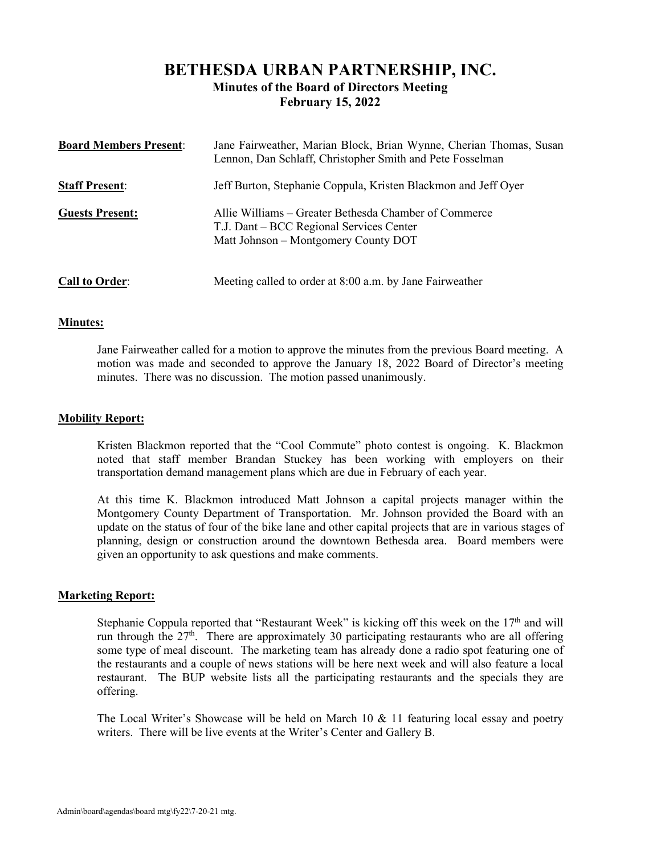# **BETHESDA URBAN PARTNERSHIP, INC. Minutes of the Board of Directors Meeting February 15, 2022**

| <b>Board Members Present:</b> | Jane Fairweather, Marian Block, Brian Wynne, Cherian Thomas, Susan<br>Lennon, Dan Schlaff, Christopher Smith and Pete Fosselman           |
|-------------------------------|-------------------------------------------------------------------------------------------------------------------------------------------|
| <b>Staff Present:</b>         | Jeff Burton, Stephanie Coppula, Kristen Blackmon and Jeff Oyer                                                                            |
| <b>Guests Present:</b>        | Allie Williams – Greater Bethesda Chamber of Commerce<br>T.J. Dant – BCC Regional Services Center<br>Matt Johnson - Montgomery County DOT |
| <b>Call to Order:</b>         | Meeting called to order at 8:00 a.m. by Jane Fairweather                                                                                  |

### **Minutes:**

Jane Fairweather called for a motion to approve the minutes from the previous Board meeting. A motion was made and seconded to approve the January 18, 2022 Board of Director's meeting minutes. There was no discussion. The motion passed unanimously.

## **Mobility Report:**

Kristen Blackmon reported that the "Cool Commute" photo contest is ongoing. K. Blackmon noted that staff member Brandan Stuckey has been working with employers on their transportation demand management plans which are due in February of each year.

At this time K. Blackmon introduced Matt Johnson a capital projects manager within the Montgomery County Department of Transportation. Mr. Johnson provided the Board with an update on the status of four of the bike lane and other capital projects that are in various stages of planning, design or construction around the downtown Bethesda area. Board members were given an opportunity to ask questions and make comments.

### **Marketing Report:**

Stephanie Coppula reported that "Restaurant Week" is kicking off this week on the  $17<sup>th</sup>$  and will run through the  $27<sup>th</sup>$ . There are approximately 30 participating restaurants who are all offering some type of meal discount. The marketing team has already done a radio spot featuring one of the restaurants and a couple of news stations will be here next week and will also feature a local restaurant. The BUP website lists all the participating restaurants and the specials they are offering.

The Local Writer's Showcase will be held on March 10  $&$  11 featuring local essay and poetry writers. There will be live events at the Writer's Center and Gallery B.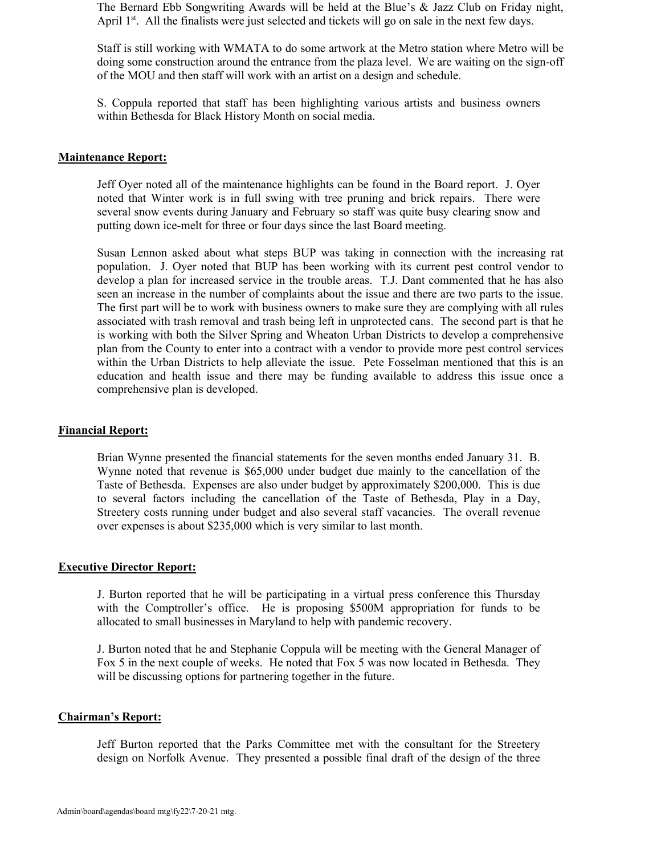The Bernard Ebb Songwriting Awards will be held at the Blue's & Jazz Club on Friday night, April  $1<sup>st</sup>$ . All the finalists were just selected and tickets will go on sale in the next few days.

Staff is still working with WMATA to do some artwork at the Metro station where Metro will be doing some construction around the entrance from the plaza level. We are waiting on the sign-off of the MOU and then staff will work with an artist on a design and schedule.

S. Coppula reported that staff has been highlighting various artists and business owners within Bethesda for Black History Month on social media.

### **Maintenance Report:**

Jeff Oyer noted all of the maintenance highlights can be found in the Board report. J. Oyer noted that Winter work is in full swing with tree pruning and brick repairs. There were several snow events during January and February so staff was quite busy clearing snow and putting down ice-melt for three or four days since the last Board meeting.

Susan Lennon asked about what steps BUP was taking in connection with the increasing rat population. J. Oyer noted that BUP has been working with its current pest control vendor to develop a plan for increased service in the trouble areas. T.J. Dant commented that he has also seen an increase in the number of complaints about the issue and there are two parts to the issue. The first part will be to work with business owners to make sure they are complying with all rules associated with trash removal and trash being left in unprotected cans. The second part is that he is working with both the Silver Spring and Wheaton Urban Districts to develop a comprehensive plan from the County to enter into a contract with a vendor to provide more pest control services within the Urban Districts to help alleviate the issue. Pete Fosselman mentioned that this is an education and health issue and there may be funding available to address this issue once a comprehensive plan is developed.

### **Financial Report:**

Brian Wynne presented the financial statements for the seven months ended January 31. B. Wynne noted that revenue is \$65,000 under budget due mainly to the cancellation of the Taste of Bethesda. Expenses are also under budget by approximately \$200,000. This is due to several factors including the cancellation of the Taste of Bethesda, Play in a Day, Streetery costs running under budget and also several staff vacancies. The overall revenue over expenses is about \$235,000 which is very similar to last month.

### **Executive Director Report:**

J. Burton reported that he will be participating in a virtual press conference this Thursday with the Comptroller's office. He is proposing \$500M appropriation for funds to be allocated to small businesses in Maryland to help with pandemic recovery.

J. Burton noted that he and Stephanie Coppula will be meeting with the General Manager of Fox 5 in the next couple of weeks. He noted that Fox 5 was now located in Bethesda. They will be discussing options for partnering together in the future.

#### **Chairman's Report:**

Jeff Burton reported that the Parks Committee met with the consultant for the Streetery design on Norfolk Avenue. They presented a possible final draft of the design of the three